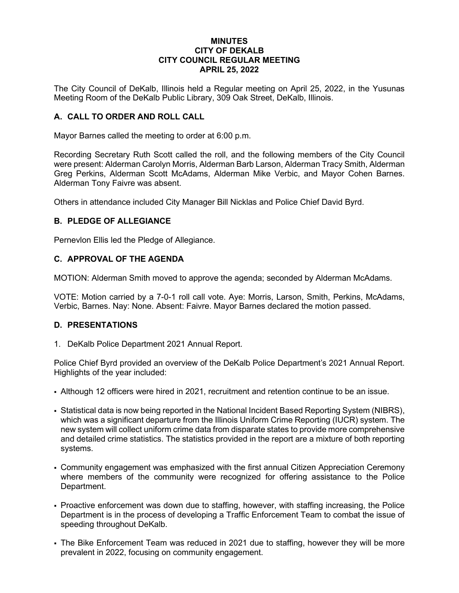### **MINUTES CITY OF DEKALB CITY COUNCIL REGULAR MEETING APRIL 25, 2022**

The City Council of DeKalb, Illinois held a Regular meeting on April 25, 2022, in the Yusunas Meeting Room of the DeKalb Public Library, 309 Oak Street, DeKalb, Illinois.

# **A. CALL TO ORDER AND ROLL CALL**

Mayor Barnes called the meeting to order at 6:00 p.m.

Recording Secretary Ruth Scott called the roll, and the following members of the City Council were present: Alderman Carolyn Morris, Alderman Barb Larson, Alderman Tracy Smith, Alderman Greg Perkins, Alderman Scott McAdams, Alderman Mike Verbic, and Mayor Cohen Barnes. Alderman Tony Faivre was absent.

Others in attendance included City Manager Bill Nicklas and Police Chief David Byrd.

#### **B. PLEDGE OF ALLEGIANCE**

Pernevlon Ellis led the Pledge of Allegiance.

#### **C. APPROVAL OF THE AGENDA**

MOTION: Alderman Smith moved to approve the agenda; seconded by Alderman McAdams.

VOTE: Motion carried by a 7-0-1 roll call vote. Aye: Morris, Larson, Smith, Perkins, McAdams, Verbic, Barnes. Nay: None. Absent: Faivre. Mayor Barnes declared the motion passed.

#### **D. PRESENTATIONS**

1. DeKalb Police Department 2021 Annual Report.

Police Chief Byrd provided an overview of the DeKalb Police Department's 2021 Annual Report. Highlights of the year included:

- Although 12 officers were hired in 2021, recruitment and retention continue to be an issue.
- Statistical data is now being reported in the National Incident Based Reporting System (NIBRS), which was a significant departure from the Illinois Uniform Crime Reporting (IUCR) system. The new system will collect uniform crime data from disparate states to provide more comprehensive and detailed crime statistics. The statistics provided in the report are a mixture of both reporting systems.
- Community engagement was emphasized with the first annual Citizen Appreciation Ceremony where members of the community were recognized for offering assistance to the Police Department.
- Proactive enforcement was down due to staffing, however, with staffing increasing, the Police Department is in the process of developing a Traffic Enforcement Team to combat the issue of speeding throughout DeKalb.
- The Bike Enforcement Team was reduced in 2021 due to staffing, however they will be more prevalent in 2022, focusing on community engagement.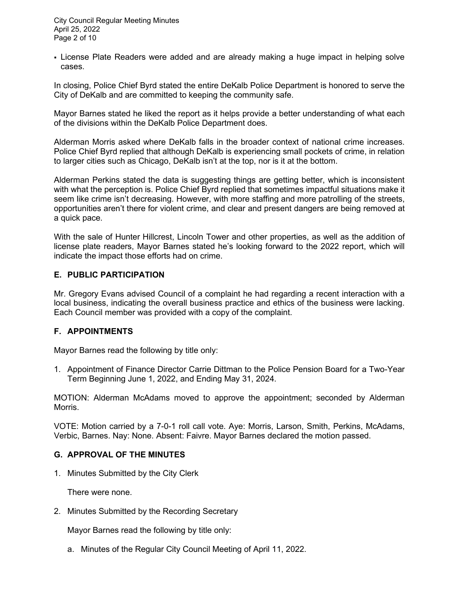City Council Regular Meeting Minutes April 25, 2022 Page 2 of 10

 License Plate Readers were added and are already making a huge impact in helping solve cases.

In closing, Police Chief Byrd stated the entire DeKalb Police Department is honored to serve the City of DeKalb and are committed to keeping the community safe.

Mayor Barnes stated he liked the report as it helps provide a better understanding of what each of the divisions within the DeKalb Police Department does.

Alderman Morris asked where DeKalb falls in the broader context of national crime increases. Police Chief Byrd replied that although DeKalb is experiencing small pockets of crime, in relation to larger cities such as Chicago, DeKalb isn't at the top, nor is it at the bottom.

Alderman Perkins stated the data is suggesting things are getting better, which is inconsistent with what the perception is. Police Chief Byrd replied that sometimes impactful situations make it seem like crime isn't decreasing. However, with more staffing and more patrolling of the streets, opportunities aren't there for violent crime, and clear and present dangers are being removed at a quick pace.

With the sale of Hunter Hillcrest, Lincoln Tower and other properties, as well as the addition of license plate readers, Mayor Barnes stated he's looking forward to the 2022 report, which will indicate the impact those efforts had on crime.

### **E. PUBLIC PARTICIPATION**

Mr. Gregory Evans advised Council of a complaint he had regarding a recent interaction with a local business, indicating the overall business practice and ethics of the business were lacking. Each Council member was provided with a copy of the complaint.

# **F. APPOINTMENTS**

Mayor Barnes read the following by title only:

1. Appointment of Finance Director Carrie Dittman to the Police Pension Board for a Two-Year Term Beginning June 1, 2022, and Ending May 31, 2024.

MOTION: Alderman McAdams moved to approve the appointment; seconded by Alderman Morris.

VOTE: Motion carried by a 7-0-1 roll call vote. Aye: Morris, Larson, Smith, Perkins, McAdams, Verbic, Barnes. Nay: None. Absent: Faivre. Mayor Barnes declared the motion passed.

#### **G. APPROVAL OF THE MINUTES**

1. Minutes Submitted by the City Clerk

There were none.

2. Minutes Submitted by the Recording Secretary

Mayor Barnes read the following by title only:

a. Minutes of the Regular City Council Meeting of April 11, 2022.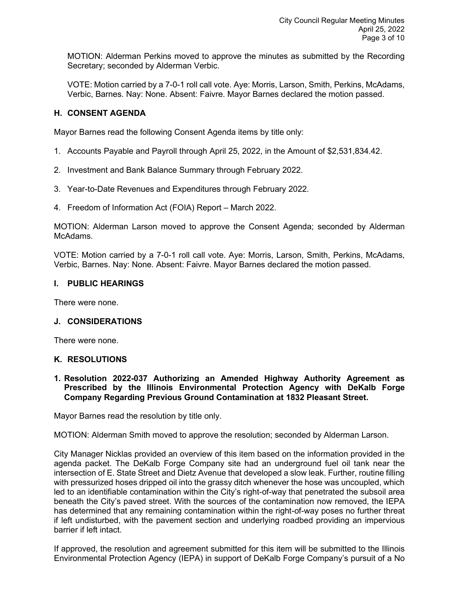MOTION: Alderman Perkins moved to approve the minutes as submitted by the Recording Secretary; seconded by Alderman Verbic.

VOTE: Motion carried by a 7-0-1 roll call vote. Aye: Morris, Larson, Smith, Perkins, McAdams, Verbic, Barnes. Nay: None. Absent: Faivre. Mayor Barnes declared the motion passed.

# **H. CONSENT AGENDA**

Mayor Barnes read the following Consent Agenda items by title only:

- 1. Accounts Payable and Payroll through April 25, 2022, in the Amount of \$2,531,834.42.
- 2. Investment and Bank Balance Summary through February 2022.
- 3. Year-to-Date Revenues and Expenditures through February 2022.
- 4. Freedom of Information Act (FOIA) Report March 2022.

MOTION: Alderman Larson moved to approve the Consent Agenda; seconded by Alderman McAdams.

VOTE: Motion carried by a 7-0-1 roll call vote. Aye: Morris, Larson, Smith, Perkins, McAdams, Verbic, Barnes. Nay: None. Absent: Faivre. Mayor Barnes declared the motion passed.

### **I. PUBLIC HEARINGS**

There were none.

#### **J. CONSIDERATIONS**

There were none.

#### **K. RESOLUTIONS**

**1. Resolution 2022-037 Authorizing an Amended Highway Authority Agreement as Prescribed by the Illinois Environmental Protection Agency with DeKalb Forge Company Regarding Previous Ground Contamination at 1832 Pleasant Street.**

Mayor Barnes read the resolution by title only.

MOTION: Alderman Smith moved to approve the resolution; seconded by Alderman Larson.

City Manager Nicklas provided an overview of this item based on the information provided in the agenda packet. The DeKalb Forge Company site had an underground fuel oil tank near the intersection of E. State Street and Dietz Avenue that developed a slow leak. Further, routine filling with pressurized hoses dripped oil into the grassy ditch whenever the hose was uncoupled, which led to an identifiable contamination within the City's right-of-way that penetrated the subsoil area beneath the City's paved street. With the sources of the contamination now removed, the IEPA has determined that any remaining contamination within the right-of-way poses no further threat if left undisturbed, with the pavement section and underlying roadbed providing an impervious barrier if left intact.

If approved, the resolution and agreement submitted for this item will be submitted to the Illinois Environmental Protection Agency (IEPA) in support of DeKalb Forge Company's pursuit of a No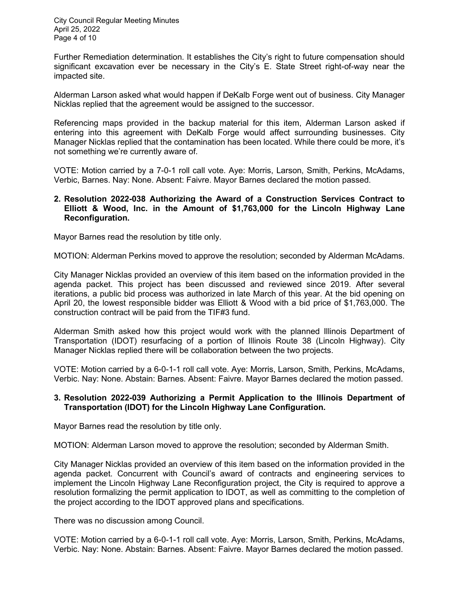City Council Regular Meeting Minutes April 25, 2022 Page 4 of 10

Further Remediation determination. It establishes the City's right to future compensation should significant excavation ever be necessary in the City's E. State Street right-of-way near the impacted site.

Alderman Larson asked what would happen if DeKalb Forge went out of business. City Manager Nicklas replied that the agreement would be assigned to the successor.

Referencing maps provided in the backup material for this item, Alderman Larson asked if entering into this agreement with DeKalb Forge would affect surrounding businesses. City Manager Nicklas replied that the contamination has been located. While there could be more, it's not something we're currently aware of.

VOTE: Motion carried by a 7-0-1 roll call vote. Aye: Morris, Larson, Smith, Perkins, McAdams, Verbic, Barnes. Nay: None. Absent: Faivre. Mayor Barnes declared the motion passed.

### **2. Resolution 2022-038 Authorizing the Award of a Construction Services Contract to Elliott & Wood, Inc. in the Amount of \$1,763,000 for the Lincoln Highway Lane Reconfiguration.**

Mayor Barnes read the resolution by title only.

MOTION: Alderman Perkins moved to approve the resolution; seconded by Alderman McAdams.

City Manager Nicklas provided an overview of this item based on the information provided in the agenda packet. This project has been discussed and reviewed since 2019. After several iterations, a public bid process was authorized in late March of this year. At the bid opening on April 20, the lowest responsible bidder was Elliott & Wood with a bid price of \$1,763,000. The construction contract will be paid from the TIF#3 fund.

Alderman Smith asked how this project would work with the planned Illinois Department of Transportation (IDOT) resurfacing of a portion of Illinois Route 38 (Lincoln Highway). City Manager Nicklas replied there will be collaboration between the two projects.

VOTE: Motion carried by a 6-0-1-1 roll call vote. Aye: Morris, Larson, Smith, Perkins, McAdams, Verbic. Nay: None. Abstain: Barnes. Absent: Faivre. Mayor Barnes declared the motion passed.

### **3. Resolution 2022-039 Authorizing a Permit Application to the Illinois Department of Transportation (IDOT) for the Lincoln Highway Lane Configuration.**

Mayor Barnes read the resolution by title only.

MOTION: Alderman Larson moved to approve the resolution; seconded by Alderman Smith.

City Manager Nicklas provided an overview of this item based on the information provided in the agenda packet. Concurrent with Council's award of contracts and engineering services to implement the Lincoln Highway Lane Reconfiguration project, the City is required to approve a resolution formalizing the permit application to IDOT, as well as committing to the completion of the project according to the IDOT approved plans and specifications.

There was no discussion among Council.

VOTE: Motion carried by a 6-0-1-1 roll call vote. Aye: Morris, Larson, Smith, Perkins, McAdams, Verbic. Nay: None. Abstain: Barnes. Absent: Faivre. Mayor Barnes declared the motion passed.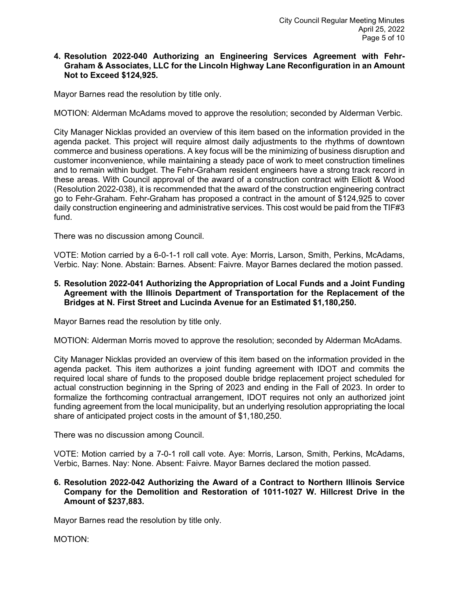### **4. Resolution 2022-040 Authorizing an Engineering Services Agreement with Fehr-Graham & Associates, LLC for the Lincoln Highway Lane Reconfiguration in an Amount Not to Exceed \$124,925.**

Mayor Barnes read the resolution by title only.

MOTION: Alderman McAdams moved to approve the resolution; seconded by Alderman Verbic.

City Manager Nicklas provided an overview of this item based on the information provided in the agenda packet. This project will require almost daily adjustments to the rhythms of downtown commerce and business operations. A key focus will be the minimizing of business disruption and customer inconvenience, while maintaining a steady pace of work to meet construction timelines and to remain within budget. The Fehr-Graham resident engineers have a strong track record in these areas. With Council approval of the award of a construction contract with Elliott & Wood (Resolution 2022-038), it is recommended that the award of the construction engineering contract go to Fehr-Graham. Fehr-Graham has proposed a contract in the amount of \$124,925 to cover daily construction engineering and administrative services. This cost would be paid from the TIF#3 fund.

There was no discussion among Council.

VOTE: Motion carried by a 6-0-1-1 roll call vote. Aye: Morris, Larson, Smith, Perkins, McAdams, Verbic. Nay: None. Abstain: Barnes. Absent: Faivre. Mayor Barnes declared the motion passed.

**5. Resolution 2022-041 Authorizing the Appropriation of Local Funds and a Joint Funding Agreement with the Illinois Department of Transportation for the Replacement of the Bridges at N. First Street and Lucinda Avenue for an Estimated \$1,180,250.**

Mayor Barnes read the resolution by title only.

MOTION: Alderman Morris moved to approve the resolution; seconded by Alderman McAdams.

City Manager Nicklas provided an overview of this item based on the information provided in the agenda packet. This item authorizes a joint funding agreement with IDOT and commits the required local share of funds to the proposed double bridge replacement project scheduled for actual construction beginning in the Spring of 2023 and ending in the Fall of 2023. In order to formalize the forthcoming contractual arrangement, IDOT requires not only an authorized joint funding agreement from the local municipality, but an underlying resolution appropriating the local share of anticipated project costs in the amount of \$1,180,250.

There was no discussion among Council.

VOTE: Motion carried by a 7-0-1 roll call vote. Aye: Morris, Larson, Smith, Perkins, McAdams, Verbic, Barnes. Nay: None. Absent: Faivre. Mayor Barnes declared the motion passed.

## **6. Resolution 2022-042 Authorizing the Award of a Contract to Northern Illinois Service Company for the Demolition and Restoration of 1011-1027 W. Hillcrest Drive in the Amount of \$237,883.**

Mayor Barnes read the resolution by title only.

MOTION: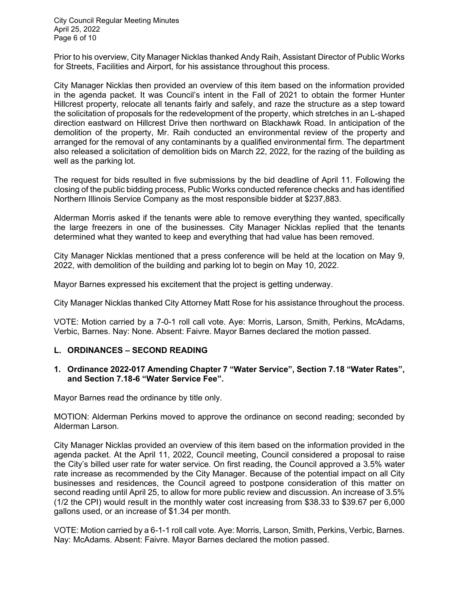City Council Regular Meeting Minutes April 25, 2022 Page 6 of 10

Prior to his overview, City Manager Nicklas thanked Andy Raih, Assistant Director of Public Works for Streets, Facilities and Airport, for his assistance throughout this process.

City Manager Nicklas then provided an overview of this item based on the information provided in the agenda packet. It was Council's intent in the Fall of 2021 to obtain the former Hunter Hillcrest property, relocate all tenants fairly and safely, and raze the structure as a step toward the solicitation of proposals for the redevelopment of the property, which stretches in an L-shaped direction eastward on Hillcrest Drive then northward on Blackhawk Road. In anticipation of the demolition of the property, Mr. Raih conducted an environmental review of the property and arranged for the removal of any contaminants by a qualified environmental firm. The department also released a solicitation of demolition bids on March 22, 2022, for the razing of the building as well as the parking lot.

The request for bids resulted in five submissions by the bid deadline of April 11. Following the closing of the public bidding process, Public Works conducted reference checks and has identified Northern Illinois Service Company as the most responsible bidder at \$237,883.

Alderman Morris asked if the tenants were able to remove everything they wanted, specifically the large freezers in one of the businesses. City Manager Nicklas replied that the tenants determined what they wanted to keep and everything that had value has been removed.

City Manager Nicklas mentioned that a press conference will be held at the location on May 9, 2022, with demolition of the building and parking lot to begin on May 10, 2022.

Mayor Barnes expressed his excitement that the project is getting underway.

City Manager Nicklas thanked City Attorney Matt Rose for his assistance throughout the process.

VOTE: Motion carried by a 7-0-1 roll call vote. Aye: Morris, Larson, Smith, Perkins, McAdams, Verbic, Barnes. Nay: None. Absent: Faivre. Mayor Barnes declared the motion passed.

#### **L. ORDINANCES – SECOND READING**

#### **1. Ordinance 2022-017 Amending Chapter 7 "Water Service", Section 7.18 "Water Rates", and Section 7.18-6 "Water Service Fee".**

Mayor Barnes read the ordinance by title only.

MOTION: Alderman Perkins moved to approve the ordinance on second reading; seconded by Alderman Larson.

City Manager Nicklas provided an overview of this item based on the information provided in the agenda packet. At the April 11, 2022, Council meeting, Council considered a proposal to raise the City's billed user rate for water service. On first reading, the Council approved a 3.5% water rate increase as recommended by the City Manager. Because of the potential impact on all City businesses and residences, the Council agreed to postpone consideration of this matter on second reading until April 25, to allow for more public review and discussion. An increase of 3.5% (1/2 the CPI) would result in the monthly water cost increasing from \$38.33 to \$39.67 per 6,000 gallons used, or an increase of \$1.34 per month.

VOTE: Motion carried by a 6-1-1 roll call vote. Aye: Morris, Larson, Smith, Perkins, Verbic, Barnes. Nay: McAdams. Absent: Faivre. Mayor Barnes declared the motion passed.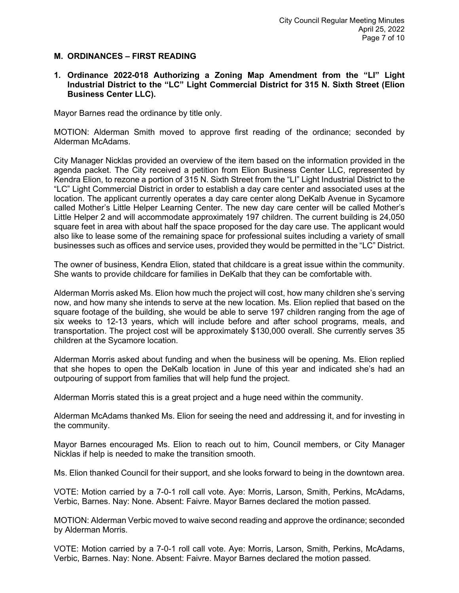### **M. ORDINANCES – FIRST READING**

### **1. Ordinance 2022-018 Authorizing a Zoning Map Amendment from the "LI" Light Industrial District to the "LC" Light Commercial District for 315 N. Sixth Street (Elion Business Center LLC).**

Mayor Barnes read the ordinance by title only.

MOTION: Alderman Smith moved to approve first reading of the ordinance; seconded by Alderman McAdams.

City Manager Nicklas provided an overview of the item based on the information provided in the agenda packet. The City received a petition from Elion Business Center LLC, represented by Kendra Elion, to rezone a portion of 315 N. Sixth Street from the "LI" Light Industrial District to the "LC" Light Commercial District in order to establish a day care center and associated uses at the location. The applicant currently operates a day care center along DeKalb Avenue in Sycamore called Mother's Little Helper Learning Center. The new day care center will be called Mother's Little Helper 2 and will accommodate approximately 197 children. The current building is 24,050 square feet in area with about half the space proposed for the day care use. The applicant would also like to lease some of the remaining space for professional suites including a variety of small businesses such as offices and service uses, provided they would be permitted in the "LC" District.

The owner of business, Kendra Elion, stated that childcare is a great issue within the community. She wants to provide childcare for families in DeKalb that they can be comfortable with.

Alderman Morris asked Ms. Elion how much the project will cost, how many children she's serving now, and how many she intends to serve at the new location. Ms. Elion replied that based on the square footage of the building, she would be able to serve 197 children ranging from the age of six weeks to 12-13 years, which will include before and after school programs, meals, and transportation. The project cost will be approximately \$130,000 overall. She currently serves 35 children at the Sycamore location.

Alderman Morris asked about funding and when the business will be opening. Ms. Elion replied that she hopes to open the DeKalb location in June of this year and indicated she's had an outpouring of support from families that will help fund the project.

Alderman Morris stated this is a great project and a huge need within the community.

Alderman McAdams thanked Ms. Elion for seeing the need and addressing it, and for investing in the community.

Mayor Barnes encouraged Ms. Elion to reach out to him, Council members, or City Manager Nicklas if help is needed to make the transition smooth.

Ms. Elion thanked Council for their support, and she looks forward to being in the downtown area.

VOTE: Motion carried by a 7-0-1 roll call vote. Aye: Morris, Larson, Smith, Perkins, McAdams, Verbic, Barnes. Nay: None. Absent: Faivre. Mayor Barnes declared the motion passed.

MOTION: Alderman Verbic moved to waive second reading and approve the ordinance; seconded by Alderman Morris.

VOTE: Motion carried by a 7-0-1 roll call vote. Aye: Morris, Larson, Smith, Perkins, McAdams, Verbic, Barnes. Nay: None. Absent: Faivre. Mayor Barnes declared the motion passed.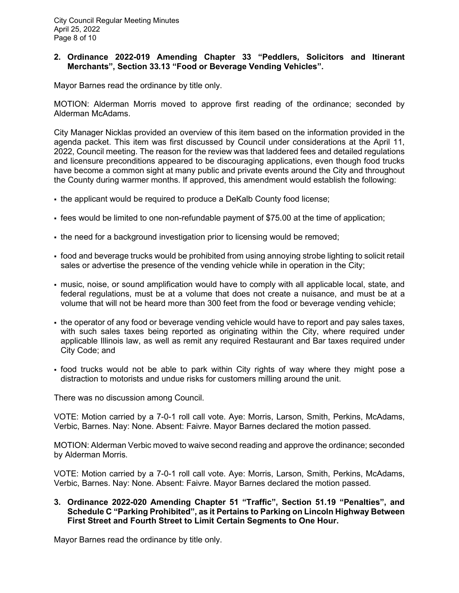# **2. Ordinance 2022-019 Amending Chapter 33 "Peddlers, Solicitors and Itinerant Merchants", Section 33.13 "Food or Beverage Vending Vehicles".**

Mayor Barnes read the ordinance by title only.

MOTION: Alderman Morris moved to approve first reading of the ordinance; seconded by Alderman McAdams.

City Manager Nicklas provided an overview of this item based on the information provided in the agenda packet. This item was first discussed by Council under considerations at the April 11, 2022, Council meeting. The reason for the review was that laddered fees and detailed regulations and licensure preconditions appeared to be discouraging applications, even though food trucks have become a common sight at many public and private events around the City and throughout the County during warmer months. If approved, this amendment would establish the following:

- the applicant would be required to produce a DeKalb County food license;
- fees would be limited to one non-refundable payment of \$75.00 at the time of application;
- the need for a background investigation prior to licensing would be removed;
- food and beverage trucks would be prohibited from using annoying strobe lighting to solicit retail sales or advertise the presence of the vending vehicle while in operation in the City;
- music, noise, or sound amplification would have to comply with all applicable local, state, and federal regulations, must be at a volume that does not create a nuisance, and must be at a volume that will not be heard more than 300 feet from the food or beverage vending vehicle;
- the operator of any food or beverage vending vehicle would have to report and pay sales taxes, with such sales taxes being reported as originating within the City, where required under applicable Illinois law, as well as remit any required Restaurant and Bar taxes required under City Code; and
- food trucks would not be able to park within City rights of way where they might pose a distraction to motorists and undue risks for customers milling around the unit.

There was no discussion among Council.

VOTE: Motion carried by a 7-0-1 roll call vote. Aye: Morris, Larson, Smith, Perkins, McAdams, Verbic, Barnes. Nay: None. Absent: Faivre. Mayor Barnes declared the motion passed.

MOTION: Alderman Verbic moved to waive second reading and approve the ordinance; seconded by Alderman Morris.

VOTE: Motion carried by a 7-0-1 roll call vote. Aye: Morris, Larson, Smith, Perkins, McAdams, Verbic, Barnes. Nay: None. Absent: Faivre. Mayor Barnes declared the motion passed.

**3. Ordinance 2022-020 Amending Chapter 51 "Traffic", Section 51.19 "Penalties", and Schedule C "Parking Prohibited", as it Pertains to Parking on Lincoln Highway Between First Street and Fourth Street to Limit Certain Segments to One Hour.**

Mayor Barnes read the ordinance by title only.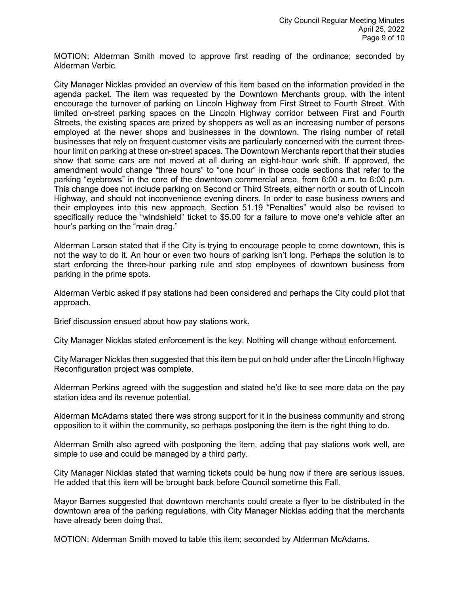MOTION: Alderman Smith moved to approve first reading of the ordinance; seconded by Alderman Verbic.

City Manager Nicklas provided an overview of this item based on the information provided in the agenda packet. The item was requested by the Downtown Merchants group, with the intent encourage the turnover of parking on Lincoln Highway from First Street to Fourth Street. With limited on-street parking spaces on the Lincoln Highway corridor between First and Fourth Streets, the existing spaces are prized by shoppers as well as an increasing number of persons employed at the newer shops and businesses in the downtown. The rising number of retail businesses that rely on frequent customer visits are particularly concerned with the current threehour limit on parking at these on-street spaces. The Downtown Merchants report that their studies show that some cars are not moved at all during an eight-hour work shift. If approved, the amendment would change "three hours" to "one hour" in those code sections that refer to the parking "eyebrows" in the core of the downtown commercial area, from 6:00 a.m. to 6:00 p.m. This change does not include parking on Second or Third Streets, either north or south of Lincoln Highway, and should not inconvenience evening diners. In order to ease business owners and their employees into this new approach, Section 51.19 "Penalties" would also be revised to specifically reduce the "windshield" ticket to \$5.00 for a failure to move one's vehicle after an hour's parking on the "main drag."

Alderman Larson stated that if the City is trying to encourage people to come downtown, this is not the way to do it. An hour or even two hours of parking isn't long. Perhaps the solution is to start enforcing the three-hour parking rule and stop employees of downtown business from parking in the prime spots.

Alderman Verbic asked if pay stations had been considered and perhaps the City could pilot that approach.

Brief discussion ensued about how pay stations work.

City Manager Nicklas stated enforcement is the key. Nothing will change without enforcement.

City Manager Nicklas then suggested that this item be put on hold under after the Lincoln Highway Reconfiguration project was complete.

Alderman Perkins agreed with the suggestion and stated he'd like to see more data on the pay station idea and its revenue potential.

Alderman McAdams stated there was strong support for it in the business community and strong opposition to it within the community, so perhaps postponing the item is the right thing to do.

Alderman Smith also agreed with postponing the item, adding that pay stations work well, are simple to use and could be managed by a third party.

City Manager Nicklas stated that warning tickets could be hung now if there are serious issues. He added that this item will be brought back before Council sometime this Fall.

Mayor Barnes suggested that downtown merchants could create a flyer to be distributed in the downtown area of the parking regulations, with City Manager Nicklas adding that the merchants have already been doing that.

MOTION: Alderman Smith moved to table this item; seconded by Alderman McAdams.